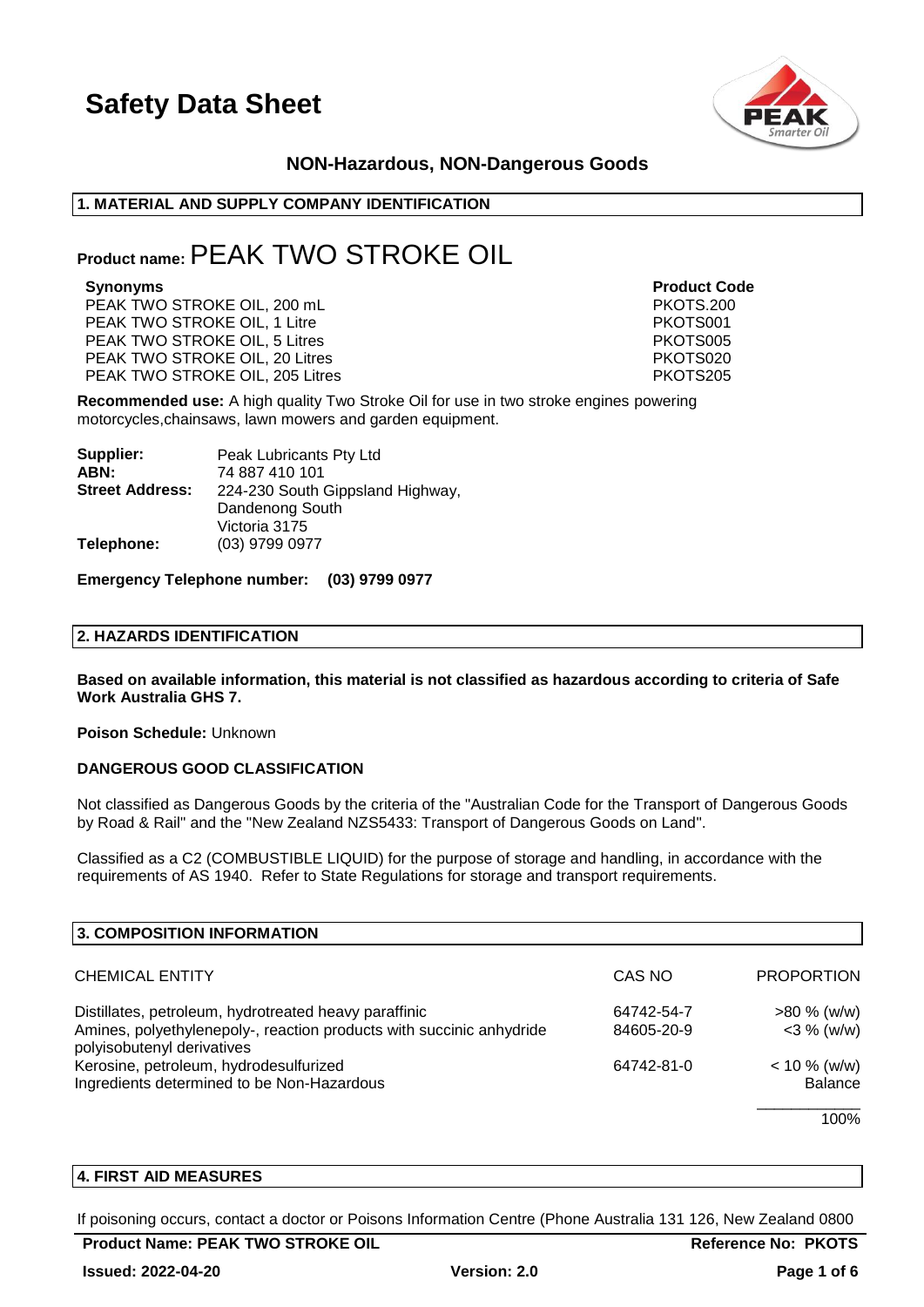

# **NON-Hazardous, NON-Dangerous Goods**

# **1. MATERIAL AND SUPPLY COMPANY IDENTIFICATION**

# **Product name:**PEAK TWO STROKE OIL

PEAK TWO STROKE OIL, 200 mL PEAK TWO STROKE OIL, 1 Litre **PEAK TWO STROKE OIL**, 1 Litre PEAK TWO STROKE OIL, 5 Litres **PEAK TWO STROKE OIL, 5 Litres** PEAK TWO STROKE OIL, 20 Litres **PEAK TWO STROKE** OIL, 20 Litres PEAK TWO STROKE OIL, 205 Litres **PEAK TWO STROKE OIL, 205 Litres** PKOTS205

**Synonyms Product Code**

**Recommended use:** A high quality Two Stroke Oil for use in two stroke engines powering motorcycles,chainsaws, lawn mowers and garden equipment.

| Peak Lubricants Pty Ltd          |  |
|----------------------------------|--|
| 74 887 410 101                   |  |
| 224-230 South Gippsland Highway, |  |
| Dandenong South                  |  |
| Victoria 3175                    |  |
| (03) 9799 0977                   |  |
|                                  |  |

**Emergency Telephone number: (03) 9799 0977**

### **2. HAZARDS IDENTIFICATION**

**Based on available information, this material is not classified as hazardous according to criteria of Safe Work Australia GHS 7.**

**Poison Schedule:** Unknown

# **DANGEROUS GOOD CLASSIFICATION**

Not classified as Dangerous Goods by the criteria of the "Australian Code for the Transport of Dangerous Goods by Road & Rail" and the "New Zealand NZS5433: Transport of Dangerous Goods on Land".

Classified as a C2 (COMBUSTIBLE LIQUID) for the purpose of storage and handling, in accordance with the requirements of AS 1940. Refer to State Regulations for storage and transport requirements.

| 3. COMPOSITION INFORMATION                                                                         |            |                   |
|----------------------------------------------------------------------------------------------------|------------|-------------------|
| <b>CHEMICAL ENTITY</b>                                                                             | CAS NO     | <b>PROPORTION</b> |
| Distillates, petroleum, hydrotreated heavy paraffinic                                              | 64742-54-7 | $>80\%$ (w/w)     |
| Amines, polyethylenepoly-, reaction products with succinic anhydride<br>polyisobutenyl derivatives | 84605-20-9 | $<$ 3 % (w/w)     |
| Kerosine, petroleum, hydrodesulfurized                                                             | 64742-81-0 | $< 10 \%$ (w/w)   |
| Ingredients determined to be Non-Hazardous                                                         |            | <b>Balance</b>    |

100%

# **4. FIRST AID MEASURES**

If poisoning occurs, contact a doctor or Poisons Information Centre (Phone Australia 131 126, New Zealand 0800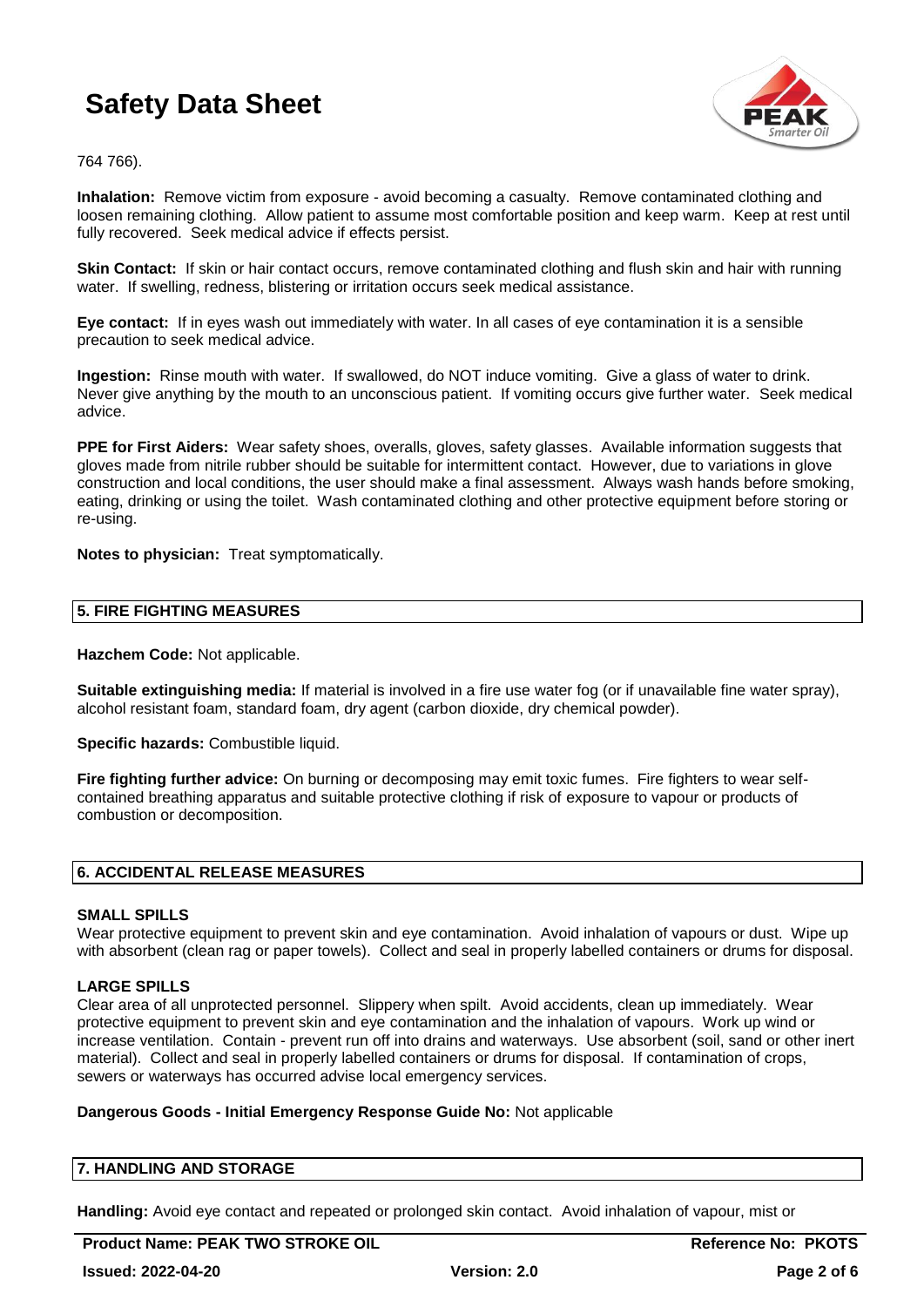

764 766).

**Inhalation:** Remove victim from exposure - avoid becoming a casualty. Remove contaminated clothing and loosen remaining clothing. Allow patient to assume most comfortable position and keep warm. Keep at rest until fully recovered. Seek medical advice if effects persist.

**Skin Contact:** If skin or hair contact occurs, remove contaminated clothing and flush skin and hair with running water. If swelling, redness, blistering or irritation occurs seek medical assistance.

**Eye contact:** If in eyes wash out immediately with water. In all cases of eye contamination it is a sensible precaution to seek medical advice.

**Ingestion:** Rinse mouth with water. If swallowed, do NOT induce vomiting. Give a glass of water to drink. Never give anything by the mouth to an unconscious patient. If vomiting occurs give further water. Seek medical advice.

**PPE for First Aiders:** Wear safety shoes, overalls, gloves, safety glasses. Available information suggests that gloves made from nitrile rubber should be suitable for intermittent contact. However, due to variations in glove construction and local conditions, the user should make a final assessment. Always wash hands before smoking, eating, drinking or using the toilet. Wash contaminated clothing and other protective equipment before storing or re-using.

**Notes to physician:** Treat symptomatically.

# **5. FIRE FIGHTING MEASURES**

**Hazchem Code:** Not applicable.

**Suitable extinguishing media:** If material is involved in a fire use water fog (or if unavailable fine water spray), alcohol resistant foam, standard foam, dry agent (carbon dioxide, dry chemical powder).

**Specific hazards:** Combustible liquid.

**Fire fighting further advice:** On burning or decomposing may emit toxic fumes. Fire fighters to wear selfcontained breathing apparatus and suitable protective clothing if risk of exposure to vapour or products of combustion or decomposition.

# **6. ACCIDENTAL RELEASE MEASURES**

### **SMALL SPILLS**

Wear protective equipment to prevent skin and eye contamination. Avoid inhalation of vapours or dust. Wipe up with absorbent (clean rag or paper towels). Collect and seal in properly labelled containers or drums for disposal.

# **LARGE SPILLS**

Clear area of all unprotected personnel. Slippery when spilt. Avoid accidents, clean up immediately. Wear protective equipment to prevent skin and eye contamination and the inhalation of vapours. Work up wind or increase ventilation. Contain - prevent run off into drains and waterways. Use absorbent (soil, sand or other inert material). Collect and seal in properly labelled containers or drums for disposal. If contamination of crops, sewers or waterways has occurred advise local emergency services.

### **Dangerous Goods - Initial Emergency Response Guide No:** Not applicable

# **7. HANDLING AND STORAGE**

**Handling:** Avoid eye contact and repeated or prolonged skin contact. Avoid inhalation of vapour, mist or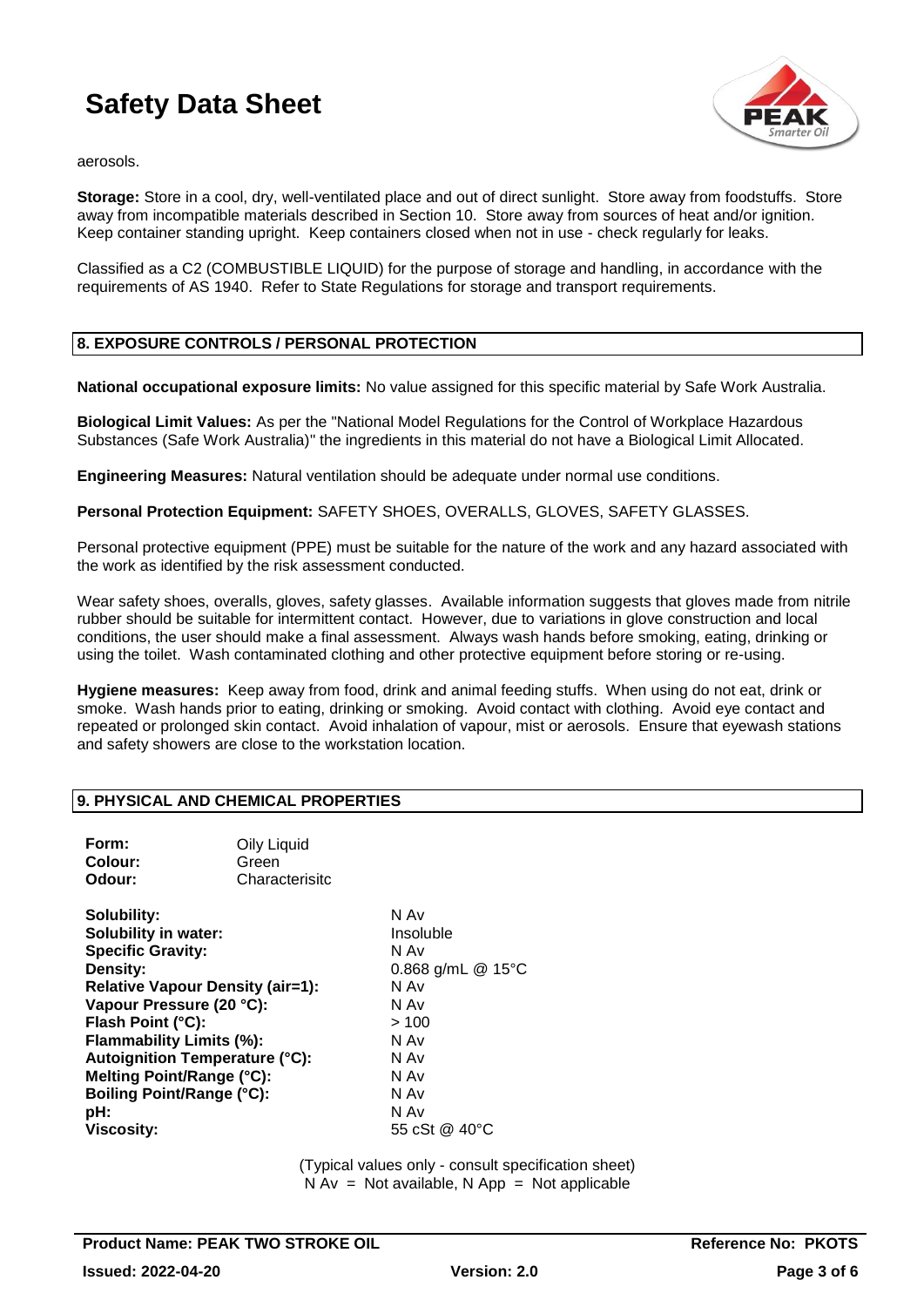

aerosols.

**Storage:** Store in a cool, dry, well-ventilated place and out of direct sunlight. Store away from foodstuffs. Store away from incompatible materials described in Section 10. Store away from sources of heat and/or ignition. Keep container standing upright. Keep containers closed when not in use - check regularly for leaks.

Classified as a C2 (COMBUSTIBLE LIQUID) for the purpose of storage and handling, in accordance with the requirements of AS 1940. Refer to State Regulations for storage and transport requirements.

# **8. EXPOSURE CONTROLS / PERSONAL PROTECTION**

**National occupational exposure limits:** No value assigned for this specific material by Safe Work Australia.

**Biological Limit Values:** As per the "National Model Regulations for the Control of Workplace Hazardous Substances (Safe Work Australia)" the ingredients in this material do not have a Biological Limit Allocated.

**Engineering Measures:** Natural ventilation should be adequate under normal use conditions.

**Personal Protection Equipment:** SAFETY SHOES, OVERALLS, GLOVES, SAFETY GLASSES.

Personal protective equipment (PPE) must be suitable for the nature of the work and any hazard associated with the work as identified by the risk assessment conducted.

Wear safety shoes, overalls, gloves, safety glasses. Available information suggests that gloves made from nitrile rubber should be suitable for intermittent contact. However, due to variations in glove construction and local conditions, the user should make a final assessment. Always wash hands before smoking, eating, drinking or using the toilet. Wash contaminated clothing and other protective equipment before storing or re-using.

**Hygiene measures:** Keep away from food, drink and animal feeding stuffs. When using do not eat, drink or smoke. Wash hands prior to eating, drinking or smoking. Avoid contact with clothing. Avoid eye contact and repeated or prolonged skin contact. Avoid inhalation of vapour, mist or aerosols. Ensure that eyewash stations and safety showers are close to the workstation location.

### **9. PHYSICAL AND CHEMICAL PROPERTIES**

| Form:<br>Colour:<br>Odour:                                                                                                                                                                                                                                                                                                                | Oily Liquid<br>Green<br>Characterisitc |                                                                                                                                  |
|-------------------------------------------------------------------------------------------------------------------------------------------------------------------------------------------------------------------------------------------------------------------------------------------------------------------------------------------|----------------------------------------|----------------------------------------------------------------------------------------------------------------------------------|
| Solubility:<br><b>Solubility in water:</b><br><b>Specific Gravity:</b><br>Density:<br><b>Relative Vapour Density (air=1):</b><br>Vapour Pressure (20 °C):<br>Flash Point (°C):<br>Flammability Limits (%):<br>Autoignition Temperature (°C):<br>Melting Point/Range (°C):<br><b>Boiling Point/Range (°C):</b><br>pH:<br><b>Viscosity:</b> |                                        | N Av<br>Insoluble<br>N Av<br>0.868 g/mL @ 15°C<br>N Av<br>N Av<br>>100<br>N Av<br>N Av<br>N Av<br>N Av<br>N Av<br>55 cSt @ 40 °C |
|                                                                                                                                                                                                                                                                                                                                           |                                        |                                                                                                                                  |

(Typical values only - consult specification sheet)  $N Av = Not available, N App = Not applicable$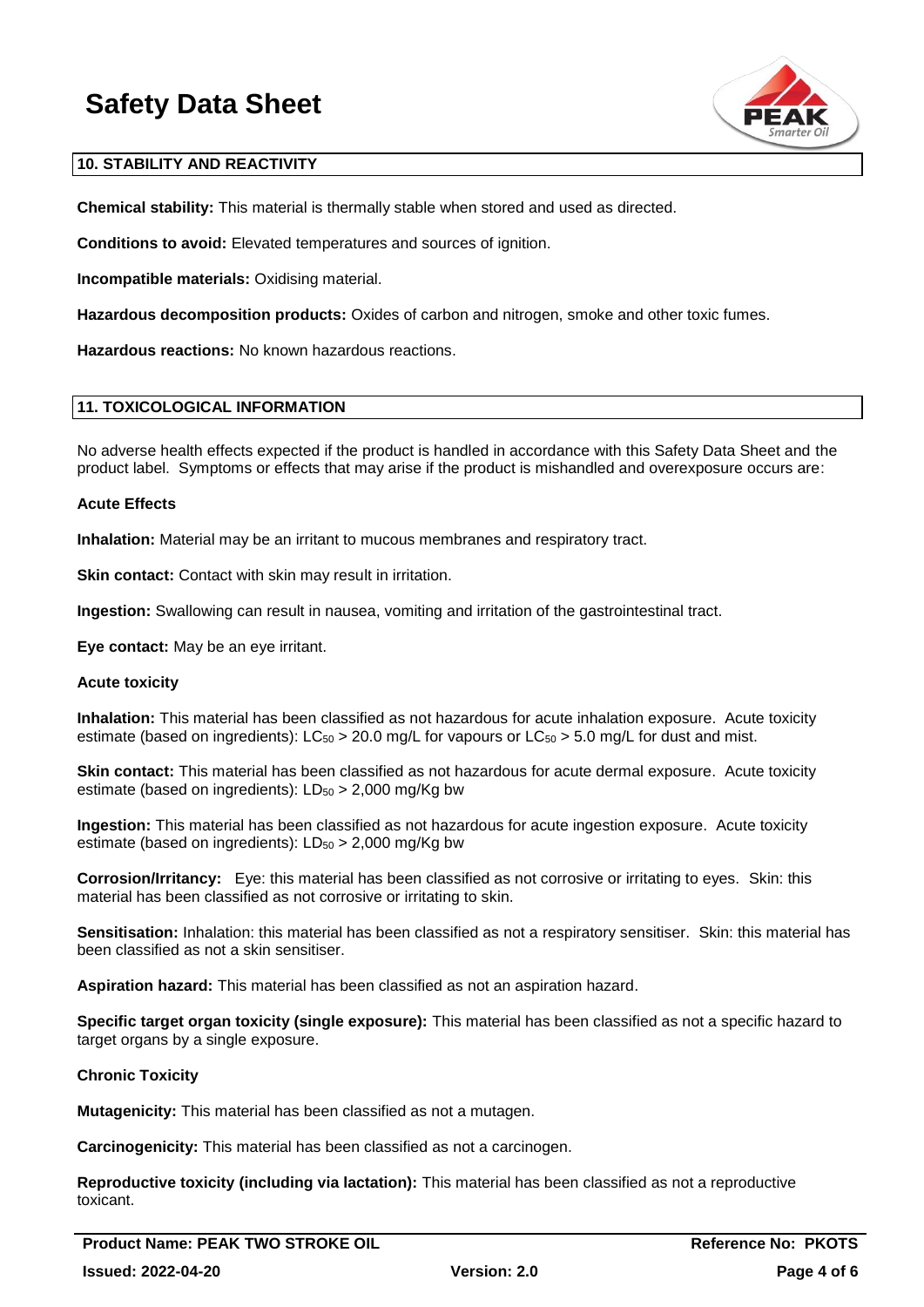

# **10. STABILITY AND REACTIVITY**

**Chemical stability:** This material is thermally stable when stored and used as directed.

**Conditions to avoid:** Elevated temperatures and sources of ignition.

**Incompatible materials:** Oxidising material.

**Hazardous decomposition products:** Oxides of carbon and nitrogen, smoke and other toxic fumes.

**Hazardous reactions:** No known hazardous reactions.

# **11. TOXICOLOGICAL INFORMATION**

No adverse health effects expected if the product is handled in accordance with this Safety Data Sheet and the product label. Symptoms or effects that may arise if the product is mishandled and overexposure occurs are:

# **Acute Effects**

**Inhalation:** Material may be an irritant to mucous membranes and respiratory tract.

**Skin contact:** Contact with skin may result in irritation.

**Ingestion:** Swallowing can result in nausea, vomiting and irritation of the gastrointestinal tract.

**Eye contact:** May be an eye irritant.

### **Acute toxicity**

**Inhalation:** This material has been classified as not hazardous for acute inhalation exposure. Acute toxicity estimate (based on ingredients):  $LC_{50} > 20.0$  mg/L for vapours or  $LC_{50} > 5.0$  mg/L for dust and mist.

**Skin contact:** This material has been classified as not hazardous for acute dermal exposure. Acute toxicity estimate (based on ingredients):  $LD_{50} > 2,000$  mg/Kg bw

**Ingestion:** This material has been classified as not hazardous for acute ingestion exposure. Acute toxicity estimate (based on ingredients):  $LD_{50} > 2,000$  mg/Kg bw

**Corrosion/Irritancy:** Eye: this material has been classified as not corrosive or irritating to eyes. Skin: this material has been classified as not corrosive or irritating to skin.

**Sensitisation:** Inhalation: this material has been classified as not a respiratory sensitiser. Skin: this material has been classified as not a skin sensitiser.

**Aspiration hazard:** This material has been classified as not an aspiration hazard.

**Specific target organ toxicity (single exposure):** This material has been classified as not a specific hazard to target organs by a single exposure.

# **Chronic Toxicity**

**Mutagenicity:** This material has been classified as not a mutagen.

**Carcinogenicity:** This material has been classified as not a carcinogen.

**Reproductive toxicity (including via lactation):** This material has been classified as not a reproductive toxicant.

**Product Name: PEAK TWO STROKE OIL CONSUMING A REFERENCE ROOM REference No: PKOTS Issued: 2022-04-20 Version: 2.0 Page 4 of 6**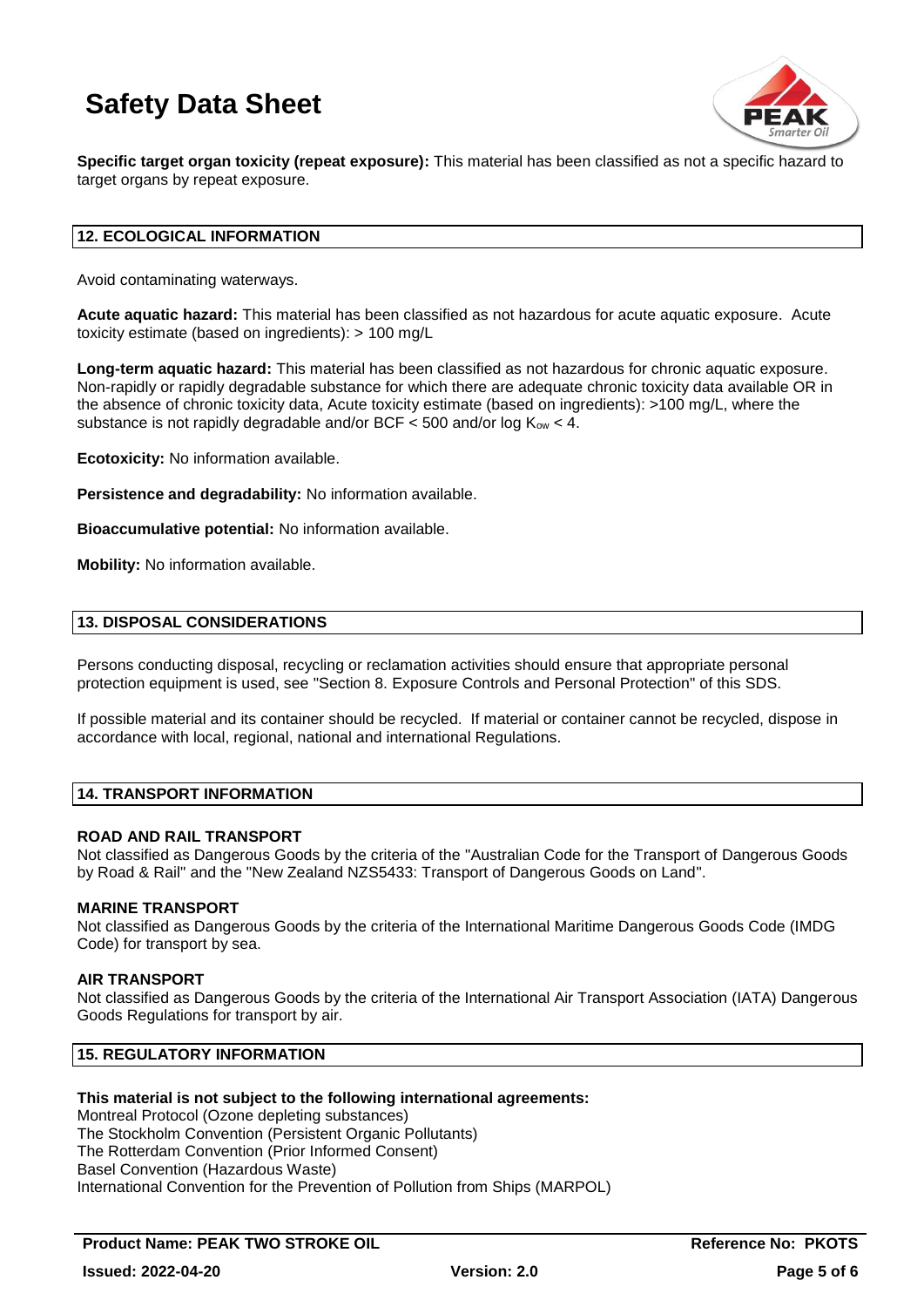

**Specific target organ toxicity (repeat exposure):** This material has been classified as not a specific hazard to target organs by repeat exposure.

# **12. ECOLOGICAL INFORMATION**

Avoid contaminating waterways.

**Acute aquatic hazard:** This material has been classified as not hazardous for acute aquatic exposure. Acute toxicity estimate (based on ingredients): > 100 mg/L

**Long-term aquatic hazard:** This material has been classified as not hazardous for chronic aquatic exposure. Non-rapidly or rapidly degradable substance for which there are adequate chronic toxicity data available OR in the absence of chronic toxicity data, Acute toxicity estimate (based on ingredients): >100 mg/L, where the substance is not rapidly degradable and/or BCF  $<$  500 and/or log  $K_{ow}$   $<$  4.

**Ecotoxicity:** No information available.

**Persistence and degradability:** No information available.

**Bioaccumulative potential:** No information available.

**Mobility:** No information available.

# **13. DISPOSAL CONSIDERATIONS**

Persons conducting disposal, recycling or reclamation activities should ensure that appropriate personal protection equipment is used, see "Section 8. Exposure Controls and Personal Protection" of this SDS.

If possible material and its container should be recycled. If material or container cannot be recycled, dispose in accordance with local, regional, national and international Regulations.

# **14. TRANSPORT INFORMATION**

### **ROAD AND RAIL TRANSPORT**

Not classified as Dangerous Goods by the criteria of the "Australian Code for the Transport of Dangerous Goods by Road & Rail" and the "New Zealand NZS5433: Transport of Dangerous Goods on Land".

### **MARINE TRANSPORT**

Not classified as Dangerous Goods by the criteria of the International Maritime Dangerous Goods Code (IMDG Code) for transport by sea.

### **AIR TRANSPORT**

Not classified as Dangerous Goods by the criteria of the International Air Transport Association (IATA) Dangerous Goods Regulations for transport by air.

# **15. REGULATORY INFORMATION**

### **This material is not subject to the following international agreements:**

Montreal Protocol (Ozone depleting substances) The Stockholm Convention (Persistent Organic Pollutants) The Rotterdam Convention (Prior Informed Consent) Basel Convention (Hazardous Waste) International Convention for the Prevention of Pollution from Ships (MARPOL)